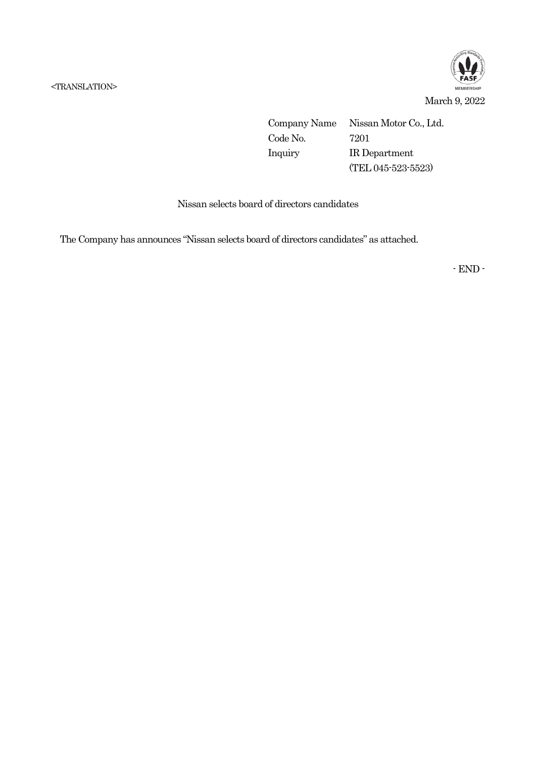

Company Name Nissan Motor Co., Ltd. Code No. 7201 Inquiry IR Department (TEL 045-523-5523)

Nissan selects board of directors candidates

The Company has announces "Nissan selects board of directors candidates" as attached.

- END -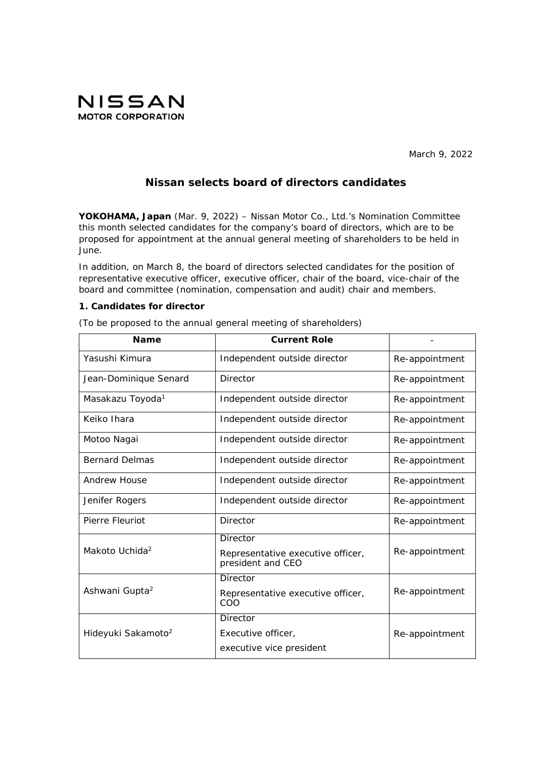

March 9, 2022

# **Nissan selects board of directors candidates**

**YOKOHAMA, Japan** (Mar. 9, 2022) – Nissan Motor Co., Ltd.'s Nomination Committee this month selected candidates for the company's board of directors, which are to be proposed for appointment at the annual general meeting of shareholders to be held in June.

In addition, on March 8, the board of directors selected candidates for the position of representative executive officer, executive officer, chair of the board, vice-chair of the board and committee (nomination, compensation and audit) chair and members.

# **1. Candidates for director**

(To be proposed to the annual general meeting of shareholders)

| <b>Name</b>                    | <b>Current Role</b>                                    |                |
|--------------------------------|--------------------------------------------------------|----------------|
| Yasushi Kimura                 | Independent outside director                           | Re-appointment |
| Jean-Dominique Senard          | Director                                               | Re-appointment |
| Masakazu Toyoda <sup>1</sup>   | Independent outside director                           | Re-appointment |
| Keiko Ihara                    | Independent outside director                           | Re-appointment |
| Motoo Nagai                    | Independent outside director                           | Re-appointment |
| <b>Bernard Delmas</b>          | Independent outside director                           | Re-appointment |
| <b>Andrew House</b>            | Independent outside director                           | Re-appointment |
| Jenifer Rogers                 | Independent outside director                           | Re-appointment |
| Pierre Fleuriot                | Director                                               | Re-appointment |
|                                | Director                                               |                |
| Makoto Uchida <sup>2</sup>     | Representative executive officer,<br>president and CEO | Re-appointment |
| Ashwani Gupta <sup>2</sup>     | <b>Director</b>                                        |                |
|                                | Representative executive officer,<br>COO               | Re-appointment |
|                                | <b>Director</b>                                        |                |
| Hideyuki Sakamoto <sup>2</sup> | Executive officer,                                     | Re-appointment |
|                                | executive vice president                               |                |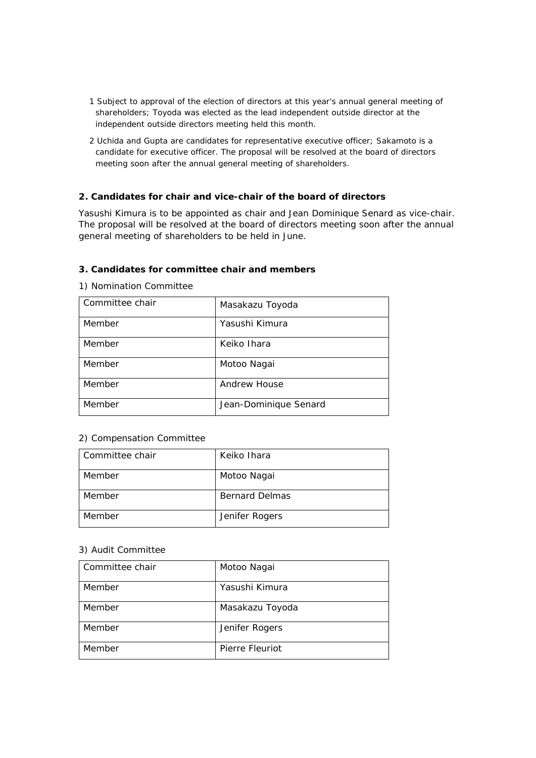- 1 Subject to approval of the election of directors at this year's annual general meeting of shareholders; Toyoda was elected as the lead independent outside director at the independent outside directors meeting held this month.
- 2 Uchida and Gupta are candidates for representative executive officer; Sakamoto is a candidate for executive officer. The proposal will be resolved at the board of directors meeting soon after the annual general meeting of shareholders.

# **2. Candidates for chair and vice-chair of the board of directors**

Yasushi Kimura is to be appointed as chair and Jean Dominique Senard as vice-chair. The proposal will be resolved at the board of directors meeting soon after the annual general meeting of shareholders to be held in June.

#### **3. Candidates for committee chair and members**

| Committee chair | Masakazu Toyoda       |
|-----------------|-----------------------|
| Member          | Yasushi Kimura        |
| Member          | Keiko Ihara           |
| Member          | Motoo Nagai           |
| Member          | Andrew House          |
| Member          | Jean-Dominique Senard |

#### 1) Nomination Committee

### 2) Compensation Committee

| Committee chair | Keiko Ihara           |
|-----------------|-----------------------|
| Member          | Motoo Nagai           |
| Member          | <b>Bernard Delmas</b> |
| Member          | Jenifer Rogers        |

# 3) Audit Committee

| Committee chair | Motoo Nagai     |
|-----------------|-----------------|
| Member          | Yasushi Kimura  |
| Member          | Masakazu Toyoda |
| Member          | Jenifer Rogers  |
| Member          | Pierre Fleuriot |